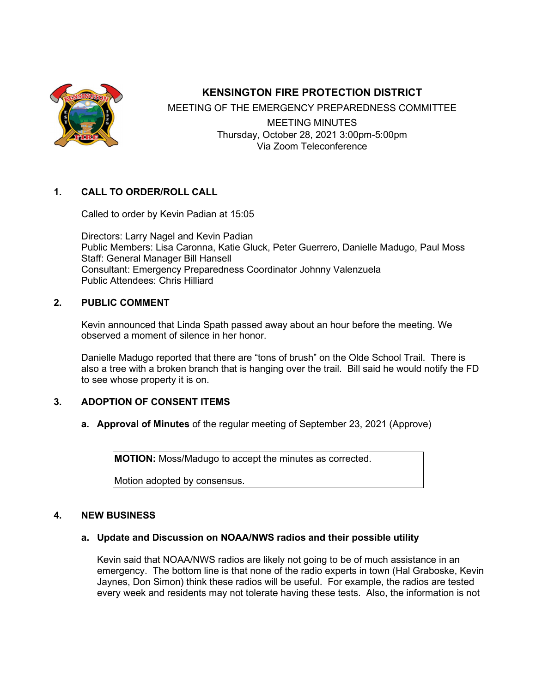

# **KENSINGTON FIRE PROTECTION DISTRICT**

MEETING OF THE EMERGENCY PREPAREDNESS COMMITTEE MEETING MINUTES Thursday, October 28, 2021 3:00pm-5:00pm Via Zoom Teleconference

### **1. CALL TO ORDER/ROLL CALL**

Called to order by Kevin Padian at 15:05

Directors: Larry Nagel and Kevin Padian Public Members: Lisa Caronna, Katie Gluck, Peter Guerrero, Danielle Madugo, Paul Moss Staff: General Manager Bill Hansell Consultant: Emergency Preparedness Coordinator Johnny Valenzuela Public Attendees: Chris Hilliard

### **2. PUBLIC COMMENT**

Kevin announced that Linda Spath passed away about an hour before the meeting. We observed a moment of silence in her honor.

Danielle Madugo reported that there are "tons of brush" on the Olde School Trail. There is also a tree with a broken branch that is hanging over the trail. Bill said he would notify the FD to see whose property it is on.

### **3. ADOPTION OF CONSENT ITEMS**

**a. Approval of Minutes** of the regular meeting of September 23, 2021 (Approve)

**MOTION:** Moss/Madugo to accept the minutes as corrected.

Motion adopted by consensus.

#### **4. NEW BUSINESS**

### **a. Update and Discussion on NOAA/NWS radios and their possible utility**

Kevin said that NOAA/NWS radios are likely not going to be of much assistance in an emergency. The bottom line is that none of the radio experts in town (Hal Graboske, Kevin Jaynes, Don Simon) think these radios will be useful. For example, the radios are tested every week and residents may not tolerate having these tests. Also, the information is not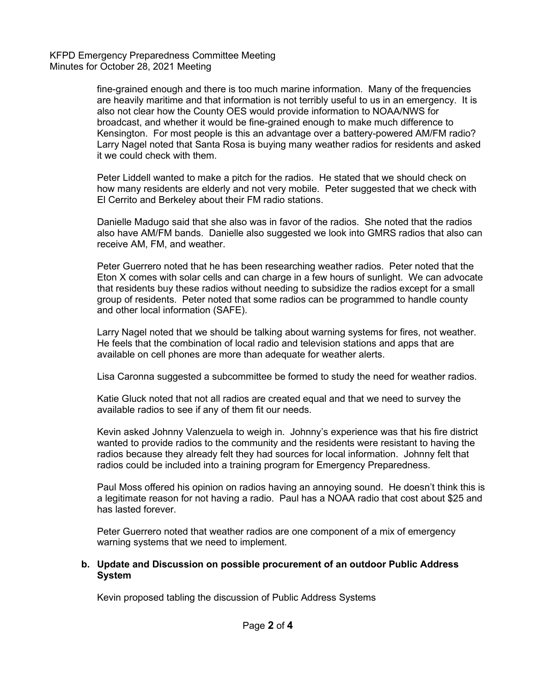KFPD Emergency Preparedness Committee Meeting Minutes for October 28, 2021 Meeting

> fine-grained enough and there is too much marine information. Many of the frequencies are heavily maritime and that information is not terribly useful to us in an emergency. It is also not clear how the County OES would provide information to NOAA/NWS for broadcast, and whether it would be fine-grained enough to make much difference to Kensington. For most people is this an advantage over a battery-powered AM/FM radio? Larry Nagel noted that Santa Rosa is buying many weather radios for residents and asked it we could check with them.

Peter Liddell wanted to make a pitch for the radios. He stated that we should check on how many residents are elderly and not very mobile. Peter suggested that we check with El Cerrito and Berkeley about their FM radio stations.

Danielle Madugo said that she also was in favor of the radios. She noted that the radios also have AM/FM bands. Danielle also suggested we look into GMRS radios that also can receive AM, FM, and weather.

Peter Guerrero noted that he has been researching weather radios. Peter noted that the Eton X comes with solar cells and can charge in a few hours of sunlight. We can advocate that residents buy these radios without needing to subsidize the radios except for a small group of residents. Peter noted that some radios can be programmed to handle county and other local information (SAFE).

Larry Nagel noted that we should be talking about warning systems for fires, not weather. He feels that the combination of local radio and television stations and apps that are available on cell phones are more than adequate for weather alerts.

Lisa Caronna suggested a subcommittee be formed to study the need for weather radios.

Katie Gluck noted that not all radios are created equal and that we need to survey the available radios to see if any of them fit our needs.

Kevin asked Johnny Valenzuela to weigh in. Johnny's experience was that his fire district wanted to provide radios to the community and the residents were resistant to having the radios because they already felt they had sources for local information. Johnny felt that radios could be included into a training program for Emergency Preparedness.

Paul Moss offered his opinion on radios having an annoying sound. He doesn't think this is a legitimate reason for not having a radio. Paul has a NOAA radio that cost about \$25 and has lasted forever.

Peter Guerrero noted that weather radios are one component of a mix of emergency warning systems that we need to implement.

#### **b. Update and Discussion on possible procurement of an outdoor Public Address System**

Kevin proposed tabling the discussion of Public Address Systems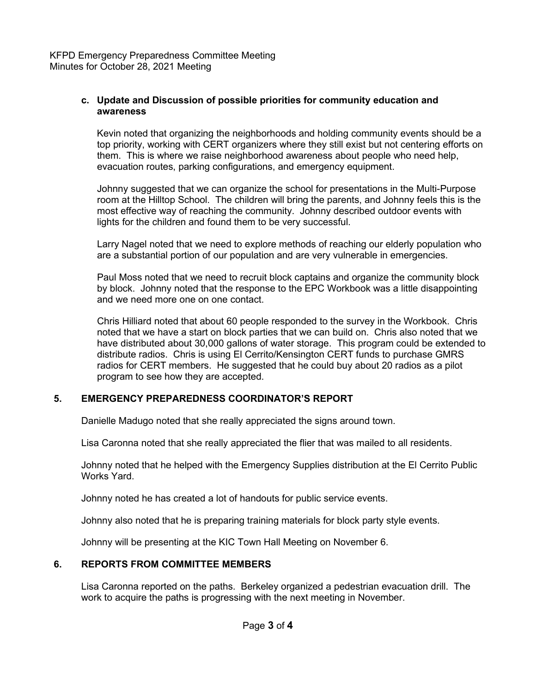KFPD Emergency Preparedness Committee Meeting Minutes for October 28, 2021 Meeting

#### **c. Update and Discussion of possible priorities for community education and awareness**

Kevin noted that organizing the neighborhoods and holding community events should be a top priority, working with CERT organizers where they still exist but not centering efforts on them. This is where we raise neighborhood awareness about people who need help, evacuation routes, parking configurations, and emergency equipment.

Johnny suggested that we can organize the school for presentations in the Multi-Purpose room at the Hilltop School. The children will bring the parents, and Johnny feels this is the most effective way of reaching the community. Johnny described outdoor events with lights for the children and found them to be very successful.

Larry Nagel noted that we need to explore methods of reaching our elderly population who are a substantial portion of our population and are very vulnerable in emergencies.

Paul Moss noted that we need to recruit block captains and organize the community block by block. Johnny noted that the response to the EPC Workbook was a little disappointing and we need more one on one contact.

Chris Hilliard noted that about 60 people responded to the survey in the Workbook. Chris noted that we have a start on block parties that we can build on. Chris also noted that we have distributed about 30,000 gallons of water storage. This program could be extended to distribute radios. Chris is using El Cerrito/Kensington CERT funds to purchase GMRS radios for CERT members. He suggested that he could buy about 20 radios as a pilot program to see how they are accepted.

## **5. EMERGENCY PREPAREDNESS COORDINATOR'S REPORT**

Danielle Madugo noted that she really appreciated the signs around town.

Lisa Caronna noted that she really appreciated the flier that was mailed to all residents.

Johnny noted that he helped with the Emergency Supplies distribution at the El Cerrito Public Works Yard.

Johnny noted he has created a lot of handouts for public service events.

Johnny also noted that he is preparing training materials for block party style events.

Johnny will be presenting at the KIC Town Hall Meeting on November 6.

### **6. REPORTS FROM COMMITTEE MEMBERS**

Lisa Caronna reported on the paths. Berkeley organized a pedestrian evacuation drill. The work to acquire the paths is progressing with the next meeting in November.